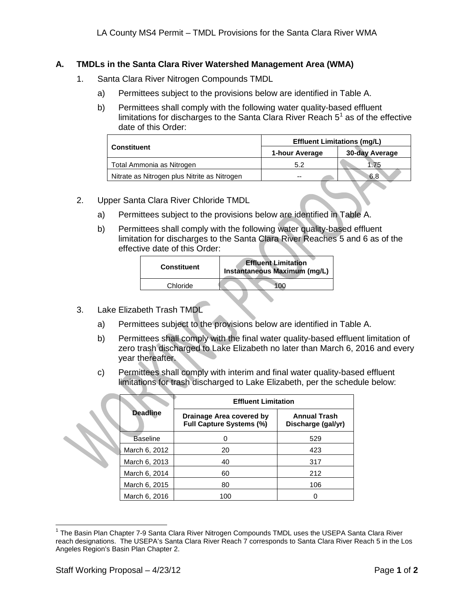## **A. TMDLs in the Santa Clara River Watershed Management Area (WMA)**

- 1. Santa Clara River Nitrogen Compounds TMDL
	- a) Permittees subject to the provisions below are identified in Table A.
	- b) Permittees shall comply with the following water quality-based effluent limitations for discharges to the Santa Clara River Reach  $5<sup>1</sup>$  $5<sup>1</sup>$  $5<sup>1</sup>$  as of the effective date of this Order:

|                                              | <b>Effluent Limitations (mg/L)</b> |                |  |
|----------------------------------------------|------------------------------------|----------------|--|
| <b>Constituent</b>                           | 1-hour Average                     | 30-day Average |  |
| Total Ammonia as Nitrogen                    | 5.2                                | 1.75           |  |
| Nitrate as Nitrogen plus Nitrite as Nitrogen | $- -$                              | 6.8            |  |

- 2. Upper Santa Clara River Chloride TMDL
	- a) Permittees subject to the provisions below are identified in Table A.
	- b) Permittees shall comply with the following water quality-based effluent limitation for discharges to the Santa Clara River Reaches 5 and 6 as of the effective date of this Order:

| <b>Constituent</b> | <b>Effluent Limitation</b><br>Instantaneous Maximum (mg/L) |
|--------------------|------------------------------------------------------------|
| Chloride           |                                                            |

- 3. Lake Elizabeth Trash TMDL
	- a) Permittees subject to the provisions below are identified in Table A.
	- b) Permittees shall comply with the final water quality-based effluent limitation of zero trash discharged to Lake Elizabeth no later than March 6, 2016 and every year thereafter.
	- c) Permittees shall comply with interim and final water quality-based effluent limitations for trash discharged to Lake Elizabeth, per the schedule below:

|                 | <b>Effluent Limitation</b>                                  |                                           |  |
|-----------------|-------------------------------------------------------------|-------------------------------------------|--|
| <b>Deadline</b> | Drainage Area covered by<br><b>Full Capture Systems (%)</b> | <b>Annual Trash</b><br>Discharge (gal/yr) |  |
| <b>Baseline</b> |                                                             | 529                                       |  |
| March 6, 2012   | 20                                                          | 423                                       |  |
| March 6, 2013   | 40                                                          | 317                                       |  |
| March 6, 2014   | 60                                                          | 212                                       |  |
| March 6, 2015   | 80                                                          | 106                                       |  |
| March 6, 2016   | 100                                                         |                                           |  |

<span id="page-0-1"></span><span id="page-0-0"></span> $1$  The Basin Plan Chapter 7-9 Santa Clara River Nitrogen Compounds TMDL uses the USEPA Santa Clara River reach designations. The USEPA's Santa Clara River Reach 7 corresponds to Santa Clara River Reach 5 in the Los Angeles Region's Basin Plan Chapter 2.